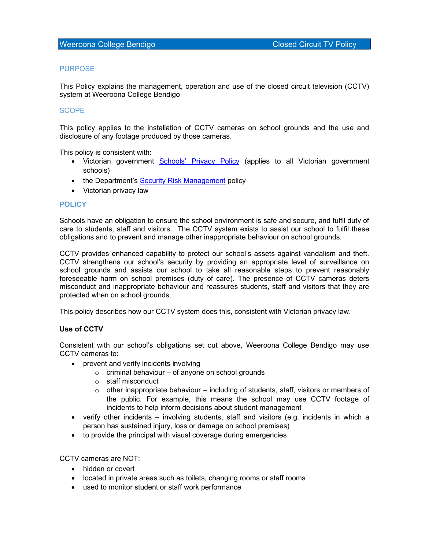### PURPOSE

This Policy explains the management, operation and use of the closed circuit television (CCTV) system at Weeroona College Bendigo

### **SCOPE**

This policy applies to the installation of CCTV cameras on school grounds and the use and disclosure of any footage produced by those cameras.

This policy is consistent with:

- Victorian government Schools' Privacy Policy (applies to all Victorian government schools)
- the Department's Security Risk Management policy
- Victorian privacy law

#### **POLICY**

Schools have an obligation to ensure the school environment is safe and secure, and fulfil duty of care to students, staff and visitors. The CCTV system exists to assist our school to fulfil these obligations and to prevent and manage other inappropriate behaviour on school grounds.

CCTV provides enhanced capability to protect our school's assets against vandalism and theft. CCTV strengthens our school's security by providing an appropriate level of surveillance on school grounds and assists our school to take all reasonable steps to prevent reasonably foreseeable harm on school premises (duty of care). The presence of CCTV cameras deters misconduct and inappropriate behaviour and reassures students, staff and visitors that they are protected when on school grounds.

This policy describes how our CCTV system does this, consistent with Victorian privacy law.

#### Use of CCTV

Consistent with our school's obligations set out above, Weeroona College Bendigo may use CCTV cameras to:

- prevent and verify incidents involving
	- $\circ$  criminal behaviour of anyone on school grounds
	- o staff misconduct
	- $\circ$  other inappropriate behaviour including of students, staff, visitors or members of the public. For example, this means the school may use CCTV footage of incidents to help inform decisions about student management
- verify other incidents involving students, staff and visitors (e.g. incidents in which a person has sustained injury, loss or damage on school premises)
- to provide the principal with visual coverage during emergencies

CCTV cameras are NOT:

- hidden or covert
- located in private areas such as toilets, changing rooms or staff rooms
- used to monitor student or staff work performance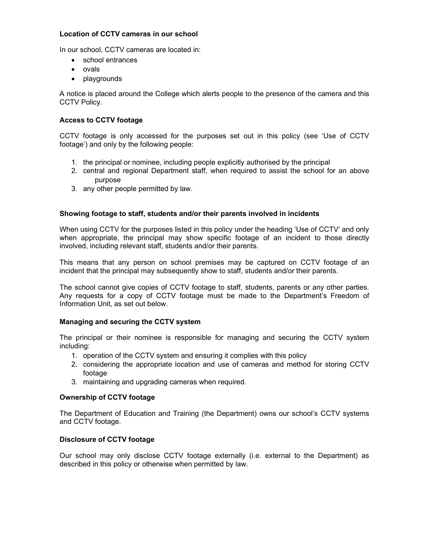### Location of CCTV cameras in our school

In our school, CCTV cameras are located in:

- school entrances
- ovals
- playgrounds

A notice is placed around the College which alerts people to the presence of the camera and this CCTV Policy.

# Access to CCTV footage

CCTV footage is only accessed for the purposes set out in this policy (see 'Use of CCTV footage') and only by the following people:

- 1. the principal or nominee, including people explicitly authorised by the principal
- 2. central and regional Department staff, when required to assist the school for an above purpose
- 3. any other people permitted by law.

# Showing footage to staff, students and/or their parents involved in incidents

When using CCTV for the purposes listed in this policy under the heading 'Use of CCTV' and only when appropriate, the principal may show specific footage of an incident to those directly involved, including relevant staff, students and/or their parents.

This means that any person on school premises may be captured on CCTV footage of an incident that the principal may subsequently show to staff, students and/or their parents.

The school cannot give copies of CCTV footage to staff, students, parents or any other parties. Any requests for a copy of CCTV footage must be made to the Department's Freedom of Information Unit, as set out below.

# Managing and securing the CCTV system

The principal or their nominee is responsible for managing and securing the CCTV system including:

- 1. operation of the CCTV system and ensuring it complies with this policy
- 2. considering the appropriate location and use of cameras and method for storing CCTV footage
- 3. maintaining and upgrading cameras when required.

# Ownership of CCTV footage

The Department of Education and Training (the Department) owns our school's CCTV systems and CCTV footage.

# Disclosure of CCTV footage

Our school may only disclose CCTV footage externally (i.e. external to the Department) as described in this policy or otherwise when permitted by law.